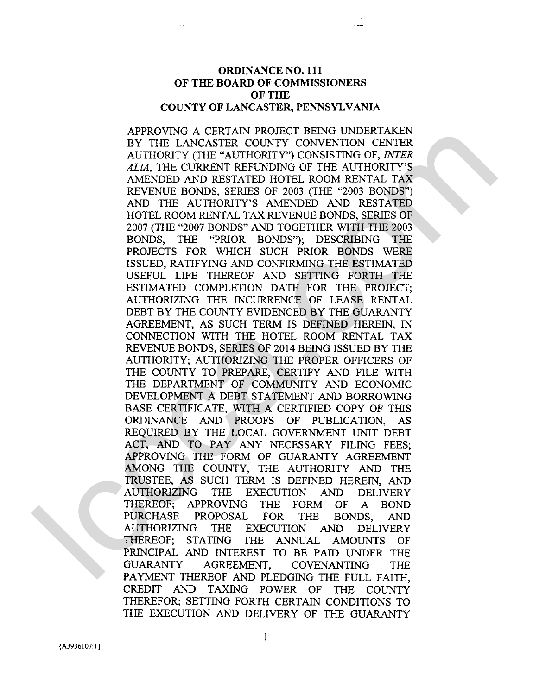## ORDINANCE NO. **11 1**  OF THE BOARD OF COMMISSIONERS OF THE COUNTY OF LANCASTER, PENNSYLVANIA

APPROVING A CERTAIN PROJECT BEING UNDERTAKEN BY THE LANCASTER COUNTY CONVENTION CENTER AUTHORITY (THE "AUTHORITY") CONSISTING OF, *INTER ALIA,* THE CURRENT REFUNDING OF THE AUTHORITY'S AMENDED AND RESTATED HOTEL ROOM RENTAL TAX REVENUE BONDS, SERIES OF 2003 (THE "2003 BONDS") AND THE AUTHORITY'S AMENDED AND RESTATED HOTEL ROOM RENTAL TAX REVENUE BONDS, SERIES OF 2007 (THE "2007 BONDS" AND TOGETHER WITH THE 2003 BONDS, THE "PRIOR BONDS"); DESCRIBING THE PROJECTS FOR WHICH SUCH PRIOR BONDS WERE ISSUED, RATIFYING AND CONFIRMING THE ESTIMATED USEFUL LIFE THEREOF AND SETTING FORTH THE ESTIMATED COMPLETION DATE FOR THE PROJECT; AUTHORIZING THE INCURRENCE OF LEASE RENTAL DEBT BY THE COUNTY EVIDENCED BY THE GUARANTY AGREEMENT, AS SUCH TERM IS DEFINED HEREIN, IN CONNECTION WITH THE HOTEL ROOM RENTAL TAX REVENUE BONDS, SERIES OF 2014 BEING ISSUED BY THE AUTHORITY; AUTHORIZING THE PROPER OFFICERS OF THE COUNTY TO PREPARE, CERTIFY AND FILE WITH THE DEPARTMENT OF COMMUNITY AND ECONOMIC DEVELOPMENT A DEBT STATEMENT AND BORROWING BASE CERTIFICATE, WITH A CERTIFIED COPY OF THIS ORDINANCE AND PROOFS OF PUBLICATION, AS REQUIRED BY THE LOCAL GOVERNMENT UNIT DEBT ACT, AND TO PAY ANY NECESSARY FILING FEES; APPROVING THE FORM OF GUARANTY AGREEMENT AMONG THE COUNTY, THE AUTHORITY AND THE TRUSTEE, AS SUCH TERM IS DEFINED HEREIN, AND AUTHORIZING THE EXECUTION AND DELIVERY THEREOF; APPROVING THE FORM OF A BOND PURCHASE PROPOSAL FOR THE BONDS, AND AUTHORIZING THE EXECUTION AND DELIVERY THEREOF; STATING THE ANNUAL AMOUNTS OF PRINCIPAL AND INTEREST TO BE PAID UNDER THE GUARANTY AGREEMENT, COVENANTING THE PAYMENT THEREOF AND PLEDGING THE FULL FAITH, CREDIT AND TAXING POWER OF THE COUNTY THEREFOR; SETTING FORTH CERTAIN CONDITIONS TO THE EXECUTION AND DELIVERY OF THE GUARANTY APROVIDE ACTEMATIVE DESCRIPT DESIGNATIVES (ANNOUNCE AND THE NATURAL PROPERTY CONSISTENCES AND THE ALTHORY CONSISTENCE AND ALTHORY AND THE ALTHORY AND THE ANITS AND THE ANNOUNCE AND THE NATURAL PROPERTY. THE PACK IN THE SAM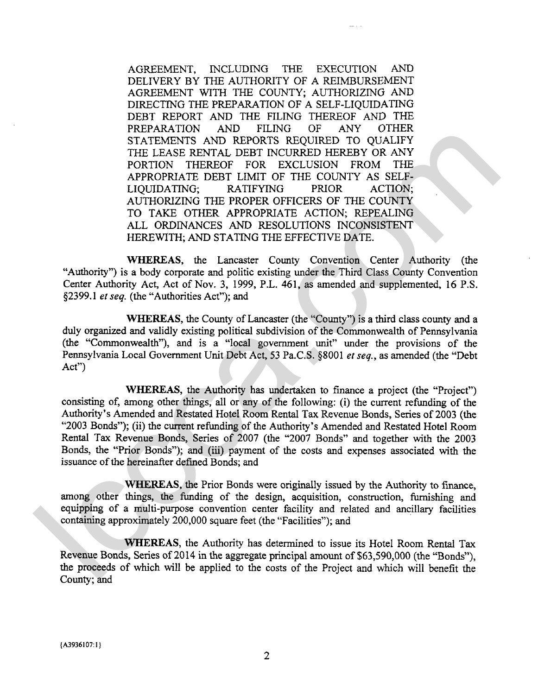AGREEMENT, INCLUDING THE EXECUTION AND DELIVERY BY THE AUTHORITY OF A REIMBURSEMENT AGREEMENT WITH THE COUNTY; AUTHORIZING AND DIRECTING THE PREPARATION OF A SELF-LIQUIDATING DEBT REPORT AND THE FILING THEREOF AND THE PREPARATION AND FILING OF ANY OTHER PREPARATION AND FILING OF ANY STATEMENTS AND REPORTS REQUIRED TO QUALIFY THE LEASE RENTAL DEBT INCURRED HEREBY OR ANY PORTION THEREOF FOR EXCLUSION FROM THE APPROPRIATE DEBT LIMIT OF THE COUNTY AS SELF-<br>LIOUIDATING: RATIFYING PRIOR ACTION: LIQUIDATING; RATIFYING PRIOR ACTION; AUTHORIZING THE PROPER OFFICERS OF THE COUNTY TO TAKE OTHER APPROPRIATE ACTION; REPEALING ALL ORDINANCES AND RESOLUTIONS INCONSISTENT HEREWITH; AND STATING THE EFFECTIVE DATE.

**WHEREAS,** the Lancaster County Convention Center Authority (the "Authority") is a body corporate and politic existing under the Third Class County Convention Center Authority Act, Act of Nov. 3, 1999, P.L. 461, as amended and supplemented, 16 P.S. 52399.1 *et* seq. (the "Authorities Act"); and

**WHEREAS,** the County of Lancaster (the "County") is a third class county and a duly organized and validly existing political subdivision of the Commonwealth of Pennsylvania (the "Commonwealth"), and is a "local government unit" under the provisions of the Pennsylvania Local Government Unit Debt Act, 53 Pa.C.S. \$8001 **er** seq., as amended (the "Debt Act")

**WHEREAS,** the Authority has undertaken to finance a project (the "Project") consisting of, among other things, all or any of the following: (i) the current refunding of the Authority's Amended and Restated Hotel Room Rental Tax Revenue Bonds, Series of 2003 (the "2003 Bonds"); (ii) the current refunding of the Authority's Amended and Restated Hotel Room Rental Tax Revenue Bonds, Series of 2007 (the "2007 Bonds" and together with the 2003 Bonds, the "Prior Bonds"); and (iii) payment of the costs and expenses associated with the issuance of the hereinafter defined Bonds; and SURTERIMENTS AND REPORTS RECOURSED HIKELEY O CALUEY<br>THE LEAST RENTAL DEBT INCURRED HIKEBY OR ANY<br>
THE LEAST RENTAL DEBT INCURRED HIKEBY OR ANY<br>
THE LEAST RENTAL DEBT INCURRED HIKEBY OR ANY<br>
APROPERATE DET LIMIT OF THE COU

**WHEREAS,** the Prior Bonds were originally issued by the Authority to finance, among other things, the funding of the design, acquisition, construction, furnishing and equipping of a multi-purpose convention center facility and related and ancillary facilities containing approximately 200,000 square feet (the "Facilities"); and

**WHEREAS,** the Authority has determined to issue its Hotel Room Rental Tax Revenue Bonds, Series of 2014 in the aggregate principal amount of \$63,590,000 (the "Bonds"), the proceeds of which will be applied to the costs of the Project and which will benefit the County; and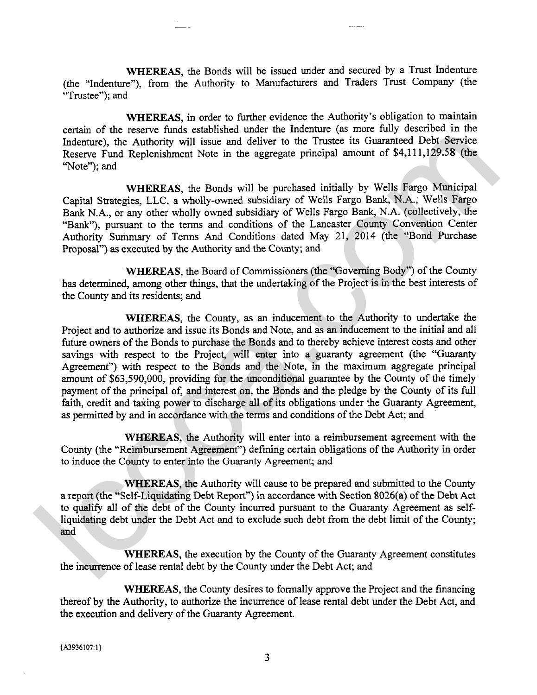**WHEREAS,** the Bonds will be issued under and secured by a Trust Indenture (the "Indenture"), from the Authority to Manufacturers and Traders Trust Company (the "Trustee"); and

WHEREAS, in order to further evidence the Authority's obligation to maintain certain of the reserve funds established under the Indenture (as more fully described in the Indenture), the Authority will issue and deliver to the Trustee its Guaranteed Debt Service Reserve Fund Replenishment Note in the aggregate principal amount of \$4,111,129.58 (the "Note"); and

**WHEREAS,** the Bonds will be purchased initially by Wells Fargo Municipal Capital Strategies, LLC, a wholly-owned subsidiary of Wells Fargo Bank, N.A.; Wells Fargo Bank N.A., or any other wholly owned subsidiary of Wells Fargo Bank, N.A. (collectively, the "Bank"), pursuant to the terms and conditions of the Lancaster County Convention Center Authority Summary of Terms And Conditions dated May 21, 2014 (the "Bond Purchase Proposal") as executed by the Authority and the County; and

**WHEREAS,** the Board of Commissioners (the "Governing Body") of the County **has** determined, among other things, that the undertaking of the Project is in the best interests of the County and its residents; and

**WHEREAS,** the County, as an inducement to the Authority to undertake the Project and to authorize and issue its Bonds and Note, and as an inducement to the initial and all future owners of the Bonds to purchase the Bonds and to thereby achieve interest costs and other savings with respect to the Project, will enter into a guaranty agreement (the "Guaranty Agreement") with respect to the Bonds and the Note, in the maximum aggregate principal amount of \$63,590,000, providing for the unconditional guarantee by the County of the timely payment of the principal of, and interest on, the Bonds and the pledge by the County of its full faith, credit and taxing power to discharge all of its obligations under the Guaranty Agreement, as permitted by and in accordance with the terms and conditions of the Debt Act; and between the result Repair and Satisfactorium and controls. The mean of the case that the sector That Repeat is the Trustee in Guaranteed Deck Section Repeat of the Protector That Repeat is the Branch with the purchase of

**WHEREAS,** the Authority will enter into a reimbursement agreement with the County (the "Reimbursement Agreement") defining certain obligations of the Authority in order to induce the County to enter into the Guaranty Agreement; and

**WHEREAS,** the Authority will cause to be prepared and submitted to the County a report (the "Self-Liquidating Debt Report") in accordance with Section 8026(a) of the Debt Act to qualify all of the debt of the County incurred pursuant to the Guaranty Agreement as selfliquidating debt under the Debt Act and to exclude such debt from the debt limit of the County; and

**WHEREAS,** the execution by the County of the Guaranty Agreement constitutes the incurrence of lease rental debt by the County under the Debt Act; and

**WHEREAS,** the County desires to formally approve the Project and the financing thereof by the Authority, to authorize the incurrence of lease rental debt under the Debt Act, and the execution and delivery of the Guaranty Agreement.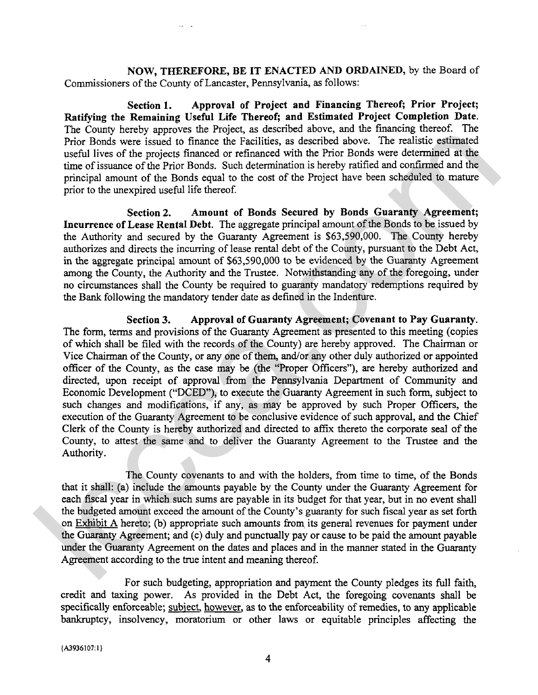**NOW, THEREFORE, BE IT ENACTED AND ORDAINED,** by the Board of Commissioners of the County of Lancaster, Pennsylvania, as follows:

**Section 1. Approval of Project and Financing Thereof; Prior Project; Ratifying the Remaining Useful Life Thereof; and Estimated Project Completion Date.**  The County hereby approves the Project, **as** described above, and the financing thereof. The Prior Bonds were issued to finance the Facilities, as described above. The realistic estimated useful lives of the projects financed or refinanced with the Prior Bonds were determined at the time of issuance of the Prior Bonds. Such determination is hereby ratified and confirmed and the principal amount of the Bonds equal to the cost of the Project have been scheduled to mature prior to the unexpired useful life thereof.

**Section 2. Amount of Bonds Secured by Bonds Guaranty Agreement; Incurrence of Lease Rental Debt.** The aggregate principal amount of the Bonds to be issued by the Authority and secured by the Guaranty Agreement is \$63,590,000. The County hereby authorizes and directs the incurring of lease rental debt of the County, pursuant to the Debt Act, in the aggregate principal amount of \$63,590,000 to be evidenced by the Guaranty Agreement among the County, the Authority and the Trustee. Notwithstanding any of the foregoing, under no circumstances shall the County be required to guaranty mandatory redemptions required by the Bank following the mandatory tender date **as** defined in the Indenture.

**Section 3. Approval of Guaranty Agreement; Covenant to Pay Guaranty.**  The form, terms and provisions of the Guaranty Agreement as presented to this meeting (copies of which shall be filed with the records of the County) are hereby approved. The Chairman or Vice Chairman of the County, or any one of them, and/or any other duly authorized or appointed officer of the County, **as** the case may be (the "Proper Officers"), are hereby authorized and directed, upon receipt of approval from the Pennsylvania Department of Community and Economic Development ("DCED"), to execute the Guaranty Agreement in such form, subject to such changes and modifications, if any, **as** may be approved by such Proper Officers, the execution of the Guaranty Agreement to be conclusive evidence of such approval, and the Chief Clerk of the County is hereby authorized and directed to affix thereto the corporate seal of the County, to attest the same and to deliver the Guaranty Agreement to the Trustee and the Authority. In County interval of the fractional and the bright in the conduct and the conduct of the proper stand to fraction of the proper function of the proper stand to the matter of the proper stand in the stand of the conduction

The County covenants to and with the holders, from time to time, of the Bonds that it shall: (a) include the amounts payable by the County under the Guaranty Agreement for each fiscal year in which such sums are payable in its budget for that year, but in no event shall the budgeted amount exceed the amount of the County's guaranty for such fiscal year as set forth on Exhibit A hereto; (b) appropriate such amounts from its general revenues for payment under the Guaranty Agreement; and (c) duly and punctually pay or cause to be paid the amount payable under the Guaranty Agreement on the dates and places and in the manner stated in the Guaranty Agreement according to the true intent and meaning thereof.

For such budgeting, appropriation and payment the County pledges its full faith, credit and taxing power. As provided in the Debt Act, the foregoing covenants shall be specifically enforceable; subiect, however, as to the enforceability of remedies, to any applicable bankruptcy, insolvency, moratorium or other laws or equitable principles affecting the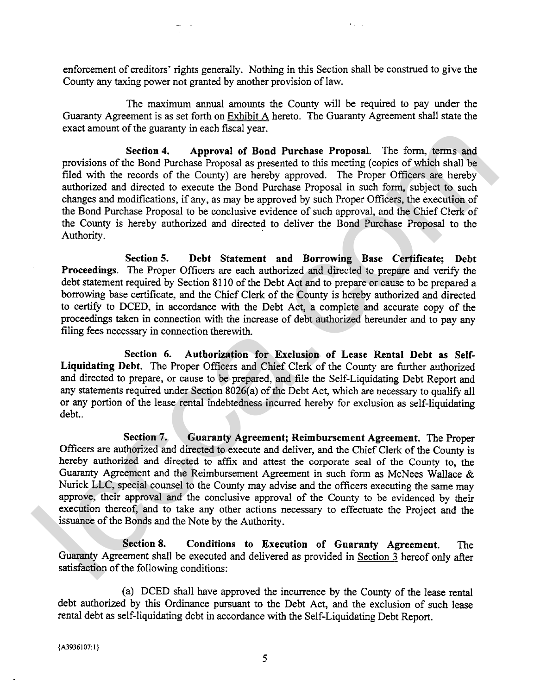enforcement of creditors' rights generally. Nothing in this Section shall be construed to give the County any taxing power not granted by another provision of law.

 $1 - 1$ 

The maximum annual amounts the County will be required to pay under the Guaranty Agreement is as set forth on Exhibit A hereto. The Guaranty Agreement shall state the exact amount of the guaranty in each fiscal year.

**Section 4. Approval of Bond Purchase Proposal.** The form, terms and provisions of the Bond Purchase Proposal as presented to this meeting (copies of which shall be filed with the records of the County) are hereby approved. The Proper Officers are hereby authorized and directed to execute the Bond Purchase Proposal in such form, subject to such changes and modifications, if any, as may be approved by such Proper Officers, the execution of the Bond Purchase Proposal to be conclusive evidence of such approval, and the Chief Clerk of the County is hereby authorized and directed to deliver the Bond Purchase Proposal to the Authority. Lease the solution of the Book Particular State Proposal. The form, terms and<br>providing of the Book Particular Schoolar are presented to the meeting (cojets of which shall be<br>died with the records of the County) are hereb

**Section 5. Debt Statement and Borrowing Base Certificate; Debt Proceedings.** The Proper Officers are each authorized and directed to prepare and verify the debt statement required by Section 81 10 of the Debt Act and to prepare or cause to be prepared a borrowing base certificate, and the Chief Clerk of the County is hereby authorized and directed to certify to DCED, in accordance with the Debt Act, a complete and accurate copy of the proceedings taken in connection with the increase of debt authorized hereunder and to pay any filing fees necessary in connection therewith.

**Section 6. Authorization for Exclusion of Lease Rental Debt as Self-Liquidating Debt.** The Proper Officers and Chief Clerk of the County are further authorized and directed to prepare, or cause to be prepared, and file the Self-Liquidating Debt Report and any statements required under Section 8026(a) of the Debt Act, which are necessary to qualify all or any portion of the lease rental indebtedness incurred hereby for exclusion as self-liquidating debt..

**Section 7. Guaranty Agreement; Reimbursement Agreement.** The Proper Officers are authorized and directed to execute and deliver, and the Chief Clerk of the County is hereby authorized **and** directed to **affix** and attest the corporate seal of the County to, the Guaranty Agreement and the Reimbursement Agreement in such form as McNees Wallace & Nurick LLC, special counsel to the County may advise and the officers executing the same may approve, their approval and the conclusive approval of the County to be evidenced by their execution thereof, and to take any other actions necessary to effectuate the Project and the issuance of the Bonds and the Note by the Authority.

**Section 8. Conditions to Execution of Guaranty Agreement.** The **Guaranty** Agreement shall be executed and delivered as provided in Section **3** hereof only after satisfaction of the following conditions:

(a) DCED shall have approved the incurrence by the County of the lease rental debt authorized by this Ordinance pursuant to the Debt Act, and the exclusion of such lease rental debt as self-liquidating debt in accordance with the Self-Liquidating Debt Report.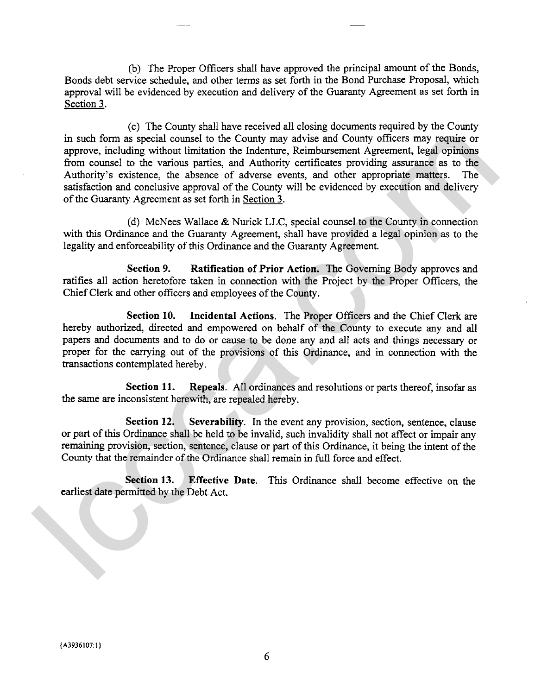(b) The Proper Officers shall have approved the principal amount of the Bonds, Bonds debt service schedule, and other terms as set forth in the Bond Purchase Proposal, which approval will be evidenced by execution and delivery of the Guaranty Agreement as set forth in Section 3.

(c) The County shall have received all closing documents required by the County in such form as special counsel to the County may advise and County officers may require or approve, including without limitation the Indenture, Reimbursement Agreement, legal opinions from counsel to the various parties, and Authority certificates providing assurance as to the Authority's existence, the absence of adverse events, and other appropriate matters. The satisfaction and conclusive approval of the County will be evidenced by execution and delivery of the Guaranty Agreement as set forth in Section **3.**  in such forms as special connels to the County may advise and County officers may require or<br>approve, including without limitation the indetermy, Reimbursement Agreement, legal opinions<br>from conneals to the various partic

(d) McNees Wallace & Nurick LLC, special counsel to the County in connection with this Ordinance and the Guaranty Agreement, shall have provided a legal opinion as to the legality and enforceability of this Ordinance and the Guaranty Agreement.

**Section 9. Ratification of Prior Action.** The Governing Body approves and ratifies all action heretofore taken in connection with the Project by the Proper Officers, the Chief Clerk and other officers and employees of the County.

**Section 10. Incidental Actions.** The Proper Officers and the Chief Clerk are hereby authorized, directed and empowered on behalf of the County to execute any and all papers and documents and to do or cause to be done any and all acts and things necessary or proper for the carrying out of the provisions of this Ordinance, and in connection with the transactions contemplated hereby.

**Section 11. Repeals.** All ordinances and resolutions or parts thereof, insofar as the same are inconsistent herewith, are repealed hereby.

**Section 12.** Severability. In the event any provision, section, sentence, clause or part of this Ordinance shall be held to be invalid, such invalidity shall not affect or impair any remaining provision, section, sentence, clause or part of this Ordinance, it being the intent of the County that the remainder of the Ordinance shall remain in full force and effect.

**Section 13. Effective Date.** This Ordinance shall become effective on the earliest date permitted by the Debt Act.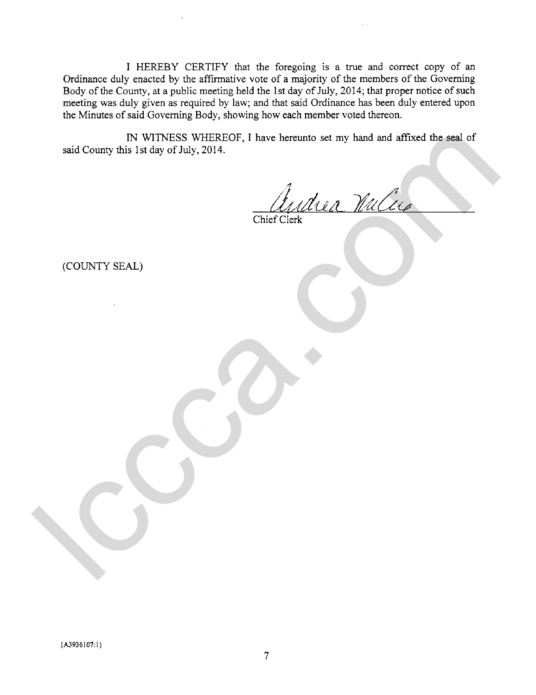I HEREBY CERTIFY that the foregoing is a true and correct copy of an Ordinance duly enacted by the affirmative vote of a majority of the members of the Governing Body of the County, at a public meeting held the 1st day of July, 2014; that proper notice of such meeting was duly given as required by law; and that said Ordinance has been duly entered upon the Minutes of said Governing Body, showing how each member voted thereon.

IN WITNESS WHEREOF, I have hereunto set my hand and affixed the seal of said County this 1st day of July, 2014. IN WITNESS WHEREOF, I have hereunto set my hand and affixed the seal of<br>said County this 1st day of July, 2014.<br>Charles Clerk Clerk Well Clerk<br>(COUNTY SEAL)

(COUNTY SEAL)

 ${A3936107:1}$